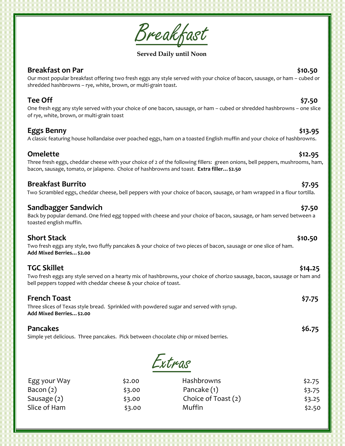Breakfast

**Served Daily until Noon**

### **Breakfast on Par**  $\frac{1}{2}$  **sets and the sets and the sets and the sets and the sets and the sets and the sets and the sets and the sets and the sets and the sets and the sets and the sets and the sets and the sets and the**

Our most popular breakfast offering two fresh eggs any style served with your choice of bacon, sausage, or ham – cubed or shredded hashbrowns – rye, white, brown, or multi-grain toast.

**Tee Off \$7.50** One fresh egg any style served with your choice of one bacon, sausage, or ham – cubed or shredded hashbrowns – one slice of rye, white, brown, or multi-grain toast

## **Eggs Benny \$13.95**

A classic featuring house hollandaise over poached eggs, ham on a toasted English muffin and your choice of hashbrowns.

# **Omelette \$12.95**

Three fresh eggs, cheddar cheese with your choice of 2 of the following fillers: green onions, bell peppers, mushrooms, ham, bacon, sausage, tomato, or jalapeno. Choice of hashbrowns and toast. **Extra filler…\$2.50**

## **Breakfast Burrito \$7.95**

Two Scrambled eggs, cheddar cheese, bell peppers with your choice of bacon, sausage, or ham wrapped in a flour tortilla.

## **Sandbagger Sandwich \$7.50**

Back by popular demand. One fried egg topped with cheese and your choice of bacon, sausage, or ham served between a toasted english muffin.

# **Short Stack \$10.50**

Two fresh eggs any style, two fluffy pancakes & your choice of two pieces of bacon, sausage or one slice of ham. **Add Mixed Berries…\$2.00**

# **TGC Skillet \$14.25**

Two fresh eggs any style served on a hearty mix of hashbrowns, your choice of chorizo sausage, bacon, sausage or ham and bell peppers topped with cheddar cheese & your choice of toast.

## **French Toast \$7.75**

Three slices of Texas style bread. Sprinkled with powdered sugar and served with syrup. **Add Mixed Berries…\$2.00**

# **Pancakes \$6.75**

Simple yet delicious. Three pancakes. Pick between chocolate chip or mixed berries.

Extras

| Egg your Way  | \$2.00 | <b>Hashbrowns</b>   | \$2.75 |
|---------------|--------|---------------------|--------|
| Bacon $(2)$   | \$3.00 | Pancake (1)         | \$3.75 |
| Sausage $(2)$ | \$3.00 | Choice of Toast (2) | \$3.25 |
| Slice of Ham  | \$3.00 | Muffin              | \$2.50 |
|               |        |                     |        |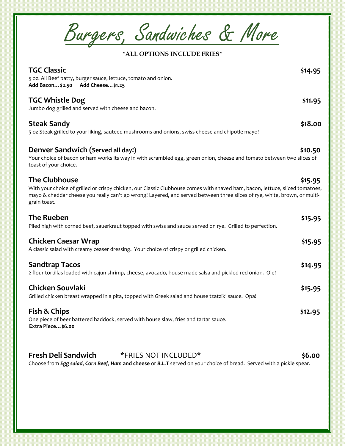Burgers, Sandwiches & More

## **\*ALL OPTIONS INCLUDE FRIES\***

| <b>TGC Classic</b><br>5 oz. All Beef patty, burger sauce, lettuce, tomato and onion.<br>Add Bacon \$2.50 Add Cheese \$1.25                                                                                                                                                                        | \$14.95 |
|---------------------------------------------------------------------------------------------------------------------------------------------------------------------------------------------------------------------------------------------------------------------------------------------------|---------|
| <b>TGC Whistle Dog</b><br>Jumbo dog grilled and served with cheese and bacon.                                                                                                                                                                                                                     | \$11.95 |
| <b>Steak Sandy</b><br>5 oz Steak grilled to your liking, sauteed mushrooms and onions, swiss cheese and chipotle mayo!                                                                                                                                                                            | \$18.00 |
| Denver Sandwich (Served all day!)<br>Your choice of bacon or ham works its way in with scrambled egg, green onion, cheese and tomato between two slices of<br>toast of your choice.                                                                                                               | \$10.50 |
| <b>The Clubhouse</b><br>With your choice of grilled or crispy chicken, our Classic Clubhouse comes with shaved ham, bacon, lettuce, sliced tomatoes,<br>mayo & cheddar cheese you really can't go wrong! Layered, and served between three slices of rye, white, brown, or multi-<br>grain toast. | \$15.95 |
| <b>The Rueben</b><br>Piled high with corned beef, sauerkraut topped with swiss and sauce served on rye. Grilled to perfection.                                                                                                                                                                    | \$15.95 |
| <b>Chicken Caesar Wrap</b><br>A classic salad with creamy ceaser dressing. Your choice of crispy or grilled chicken.                                                                                                                                                                              | \$15.95 |
| <b>Sandtrap Tacos</b><br>2 flour tortillas loaded with cajun shrimp, cheese, avocado, house made salsa and pickled red onion. Ole!                                                                                                                                                                | \$14.95 |
| <b>Chicken Souvlaki</b><br>Grilled chicken breast wrapped in a pita, topped with Greek salad and house tzatziki sauce. Opa!                                                                                                                                                                       | \$15.95 |
| Fish & Chips<br>One piece of beer battered haddock, served with house slaw, fries and tartar sauce.<br>Extra Piece \$6.00                                                                                                                                                                         | \$12.95 |
| <b>Fresh Deli Sandwich</b><br>*FRIES NOT INCLUDED*<br>Choose from Egg salad, Corn Beef, Ham and cheese or B.L.T served on your choice of bread. Served with a pickle spear.                                                                                                                       | \$6.00  |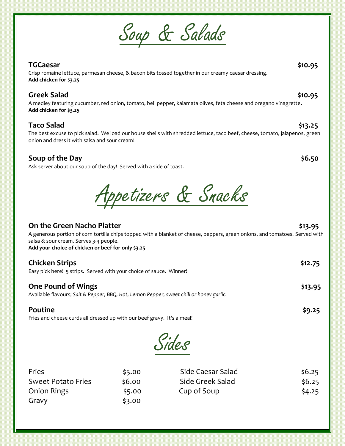# Soup & Salads

# **TGCaesar \$10.95**

Crisp romaine lettuce, parmesan cheese, & bacon bits tossed together in our creamy caesar dressing. **Add chicken for \$3.25**

# **Greek Salad \$10.95**

Chili Cheese Dog.... \$8.95 A medley featuring cucumber, red onion, tomato, bell pepper, kalamata olives, feta cheese and oregano vinagrette**. Add chicken for \$3.25**

# **Taco Salad \$13.25**

The best excuse to pick salad. We load our house shells with shredded lettuce, taco beef, cheese, tomato, jalapenos, green onion and dress it with salsa and sour cream!

# **Soup of the Day**  $\leq 6.50$

Ask server about our soup of the day! Served with a side of toast.

Appetizers & Snacks

| On the Green Nacho Platter<br>A generous portion of corn tortilla chips topped with a blanket of cheese, peppers, green onions, and tomatoes. Served with<br>salsa & sour cream. Serves 3-4 people.<br>Add your choice of chicken or beef for only \$3.25 | \$13.95 |
|-----------------------------------------------------------------------------------------------------------------------------------------------------------------------------------------------------------------------------------------------------------|---------|
| <b>Chicken Strips</b><br>Easy pick here! 5 strips. Served with your choice of sauce. Winner!                                                                                                                                                              | \$12.75 |
| <b>One Pound of Wings</b><br>Available flavours; Salt & Pepper, BBQ, Hot, Lemon Pepper, sweet chili or honey garlic.                                                                                                                                      | \$13.95 |
| Poutine<br>Fries and cheese curds all dressed up with our beef gravy. It's a meal!                                                                                                                                                                        | \$9.25  |

Sides

| Fries                     | \$5.00 | Side Caesar Salad | \$6.25 |
|---------------------------|--------|-------------------|--------|
| <b>Sweet Potato Fries</b> | \$6.00 | Side Greek Salad  | \$6.25 |
| <b>Onion Rings</b>        | \$5.00 | Cup of Soup       | \$4.25 |
| Gravy                     | \$3.00 |                   |        |